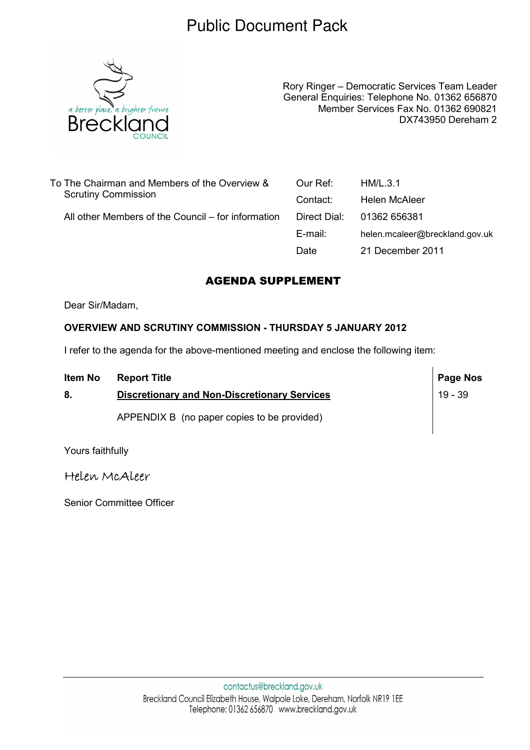### Public Document Pack



Rory Ringer – Democratic Services Team Leader General Enquiries: Telephone No. 01362 656870 Member Services Fax No. 01362 690821 DX743950 Dereham 2

| To The Chairman and Members of the Overview &      | Our Ref:     | HM/L.3.1                       |
|----------------------------------------------------|--------------|--------------------------------|
| <b>Scrutiny Commission</b>                         | Contact:     | Helen McAleer                  |
| All other Members of the Council – for information | Direct Dial: | 01362 656381                   |
|                                                    | E-mail:      | helen.mcaleer@breckland.gov.uk |
|                                                    | Date         | 21 December 2011               |
|                                                    |              |                                |

#### AGENDA SUPPLEMENT

Dear Sir/Madam,

#### OVERVIEW AND SCRUTINY COMMISSION - THURSDAY 5 JANUARY 2012

I refer to the agenda for the above-mentioned meeting and enclose the following item:

| <b>Item No</b> | <b>Report Title</b>                                 | Page Nos |
|----------------|-----------------------------------------------------|----------|
| 8.             | <b>Discretionary and Non-Discretionary Services</b> | 19 - 39  |
|                | APPENDIX B (no paper copies to be provided)         |          |

Yours faithfully

Helen McAleer

Senior Committee Officer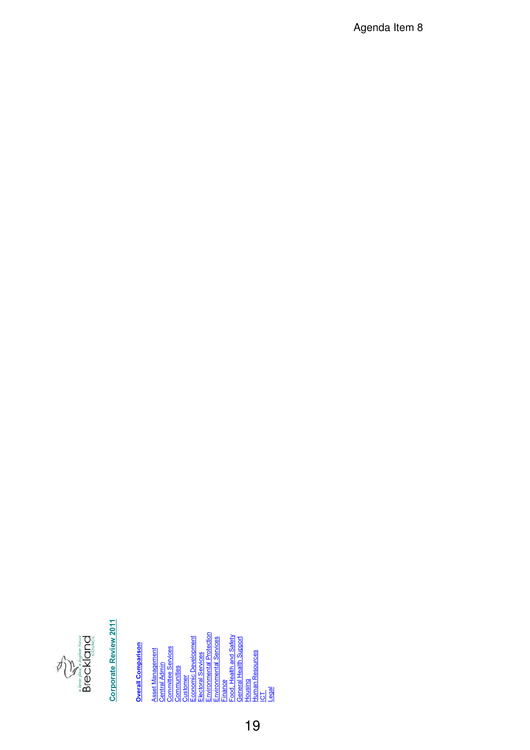

# **Corporate Review 2011**

**Overall Comparison Overall Comparison**

<u>lectoral Services</u><br>nvironmental Protection<br>nvironmental Services Environmental Protection <u>ustomer</u><br>conomic Development Food, Health and Safety Economic Development Environmental Services General Health Support Committee Services Asset Management Human Resources Electoral Services Central Admin<br>Committee Se<br>Communities Finance<br>Food, H<br>General<br>Housing <u>ra</u><br>Legal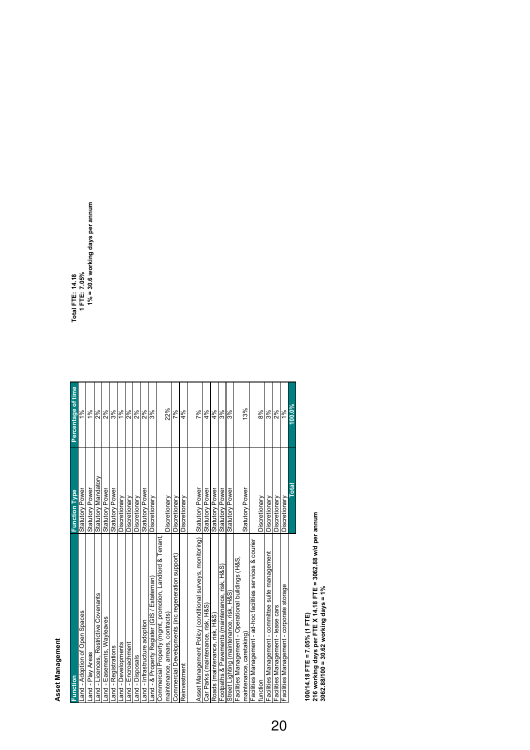# Asset Management **Asset Management**

| Function                                                     | <b>Function Type</b>   |                    |                                  |
|--------------------------------------------------------------|------------------------|--------------------|----------------------------------|
|                                                              |                        | Percentage of time | Total FTE: 14.18                 |
| Land - Adoption of Open Spaces                               | Statutory Power        | ಕ್ಷ್               | 1 FTE: 7.05%                     |
| Land - Play Areas                                            | Statutory Power        | 1%                 | 1% = 30.6 working days per annum |
| ants<br>Land - Licences, Restrictive Covena                  | Statutory Mandatory    | 2%                 |                                  |
| Land - Easements, Wayleaves                                  | Statutory Power        | 2%                 |                                  |
| Land - Registrations                                         | <b>Statutory Power</b> | 3%                 |                                  |
| Land - Developments                                          | Discretionary          | 1%                 |                                  |
| Land - Encroachment                                          | Discretionary          | 2%                 |                                  |
| Land - Disposals                                             | Discretionary          | 2%                 |                                  |
| Land - Infrastructure adoption                               | Statutory Power        | 2%                 |                                  |
| Land - & Property Register (GIS / Estateman)                 | Discretionary          | န္တြ               |                                  |
| Commercial Property (mgmt, promotion, Landlord & Tenant      |                        |                    |                                  |
| maintenance, arrears, contracts)                             | Discretionary          | 22%                |                                  |
| eneration support)<br>Commercial Developments (inc reg-      | Discretionary          | 7%                 |                                  |
| Reinvestment                                                 | Discretionary          | 4%                 |                                  |
|                                                              |                        |                    |                                  |
| Asset Management Policy (conditional surveys, monitoring)    | Statutory Power        | 7%                 |                                  |
| Car Parks (maintenance, risk, H&S)                           | Statutory Power        | 4%                 |                                  |
| Roads (maintenance, risk, H&S)                               | Statutory Power        | 4%                 |                                  |
| nce, risk, H&S<br>Footpaths & Pavements (maintenan           | Statutory Power        | 3%                 |                                  |
| H8S<br>Street Lighting (maintenance, risk,                   | Statutory Power        | 3%                 |                                  |
| Facilities Management - Operational buildings (H&S           |                        |                    |                                  |
| maintenance, caretaking)                                     | Statutory Power        | 13%                |                                  |
| Facilities Management - ad-hoc facilities services & courier |                        |                    |                                  |
| function                                                     | Discretionary          | 8%                 |                                  |
| suite management<br>Facilities Management - committee        | Discretionary          | ೫∣೩                |                                  |
| Facilities Management - lease cars                           | Discretionary          |                    |                                  |
| Facilities Management - corporate storage                    | Discretionary          | $\frac{9}{6}$      |                                  |
|                                                              | Total                  | $100.0\%$          |                                  |
|                                                              |                        |                    |                                  |

100/14.18 FTE = 7.05% (1 FTE)<br>216 working days per FTE X 14.18 FTE = 3062.88 w/d per annum<br>3062.88/100 = 30.62 working days = 1% **216 working days per FTE X 14.18 FTE = 3062.88 w/d per annum 3062.88/100 = 30.62 working days = 1% 100/14.18 FTE = 7.05% (1 FTE)**

Total FTE: 14.18<br>1 FTE: 7.05%<br>1% = 30.6 working days per annum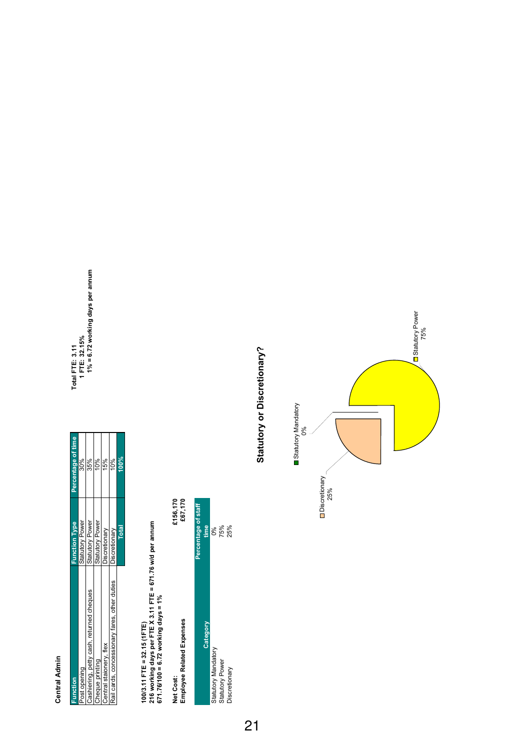## **Central Admin Central Admin**

| Function                                       | unction lype           | Percentage of time | Total FTE: 3.11                     |
|------------------------------------------------|------------------------|--------------------|-------------------------------------|
| Post opening                                   | Statutory Power        | 30%                | IFTE: 32.15%                        |
| Cashiering, petty cash, returned cheques       | <b>Statutory Power</b> | 35%                | $1\% = 6.72$ working days per annum |
| Cheque printing                                | <b>Statutory Power</b> |                    |                                     |
| Central staionery, flex                        | Jiscretionary          | 15%                |                                     |
| [Rail cards, concessionary fares, other duties | Discretionary          |                    |                                     |
|                                                | Total                  | <b>No00</b>        |                                     |
|                                                |                        |                    |                                     |

Total FTE: 3.11<br>1 FTE: 32.15%<br>1% = 6.72 working days per annum

100/3.11 FTE = 32.15 (1FTE)<br>216 working days per FTE X 3.11 FTE = 671.76 w/d per annum<br>671.76/100 = 6.72 working days = 1% **216 working days per FTE X 3.11 FTE = 671.76 w/d per annum 671.76/100 = 6.72 working days = 1% 100/3.11 FTE = 32.15 (1FTE)**

| Employee Related Expenses<br>Net Cost: | £156,170<br>£67,170 |
|----------------------------------------|---------------------|
|                                        | Percentage of staff |
| <b>Category</b>                        | time                |
| Statutory Mandatory                    | ಶಿಂ                 |
| <b>Statutory Power</b>                 | 75%                 |
| Discretionary                          | 25%                 |

Discretionary  $25\%$ 

Statutory or Discretionary? **Statutory or Discretionary?**

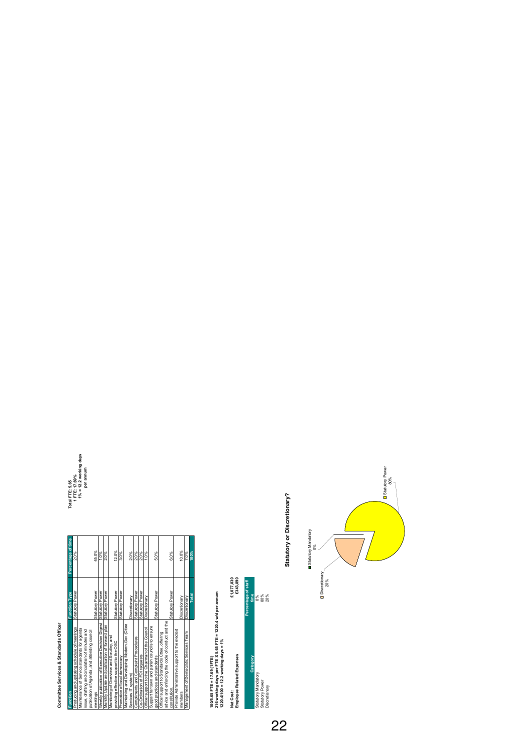# Committee Services & Standards Officer **Committee Services & Standards Officer**

| Function                                         | <b>Function Type</b> | Percentage of time | Total FTE: 5.65 |
|--------------------------------------------------|----------------------|--------------------|-----------------|
| Producing and updating schedule of meetings      | Statutory Power      | 2.0%               | 1 FTE: 17.69%   |
| Maintenance of Service standards for agenda      |                      |                    | $1\% = 12.2$ we |
| issue, drafting and circulation of minutes and   |                      |                    | per anr         |
| publication of Agenda, and attending council     |                      |                    |                 |
| meetings                                         | Statutory Power      | 45.0%              |                 |
| Weekly publication of Executive Decision Digest  | Statutory Power      | 1.0%               |                 |
| Monthly Update and publication of forward plan   | Statutory Power      | 2.0%               |                 |
| Monitoring of Overview and Scrutiny, and         |                      |                    |                 |
| providing effective support to the OSC           | Statutory Power      | 12.0%              |                 |
| Promotion of local democracy                     | Statutory Power      | 3.0%               |                 |
| Maintaining and Developing Modern.Gov (Citee     |                      |                    |                 |
| Services IT system)                              | Discretionary        | 2.0%               |                 |
| Compliments and Complaint Procedures             | Statutory Power      | 2.0%               |                 |
| Co-Ordination of FOI requests                    | Statutory Power      | 2.0%               |                 |
| Officer support to the Chairman of the Council   | Discretionary        | 1.0%               |                 |
| Support for town and parish councils to ensure   |                      |                    |                 |
| good practices and standards                     | Statutory Power      | 5.0%               |                 |
| Officer support to Standards Citee, offering     |                      |                    |                 |
| advice and enforcing the code of conduct and the |                      |                    |                 |
| constitution.                                    | Statutory Power      | 6.0%               |                 |
| Provide Administrative support to the elected    |                      |                    |                 |
| members                                          | Discretionary        | 10.0%              |                 |
| Management of Democratic Services Team           | Discretionary        | 7.0%               |                 |
|                                                  | Total                | 100%               |                 |
|                                                  |                      |                    |                 |

100/5.65 FTE= 17.69 (1FTE)<br>216 working days per FTE X 5.65 FTE= 1220.4 w/d per annum<br>1220.4/100 = 12.2 working days = 1% **216 working days per FTE X 5.65 FTE = 1220.4 w/d per annum 100/5.65 FTE = 17.69 (1FTE)**



Statutory or Discretionary? **Statutory or Discretionary?**



**1% = 12.2 working days**  Total FTE: 5.65<br>1 FTE: 17.69%<br>1% = 12.2 working days<br>per annum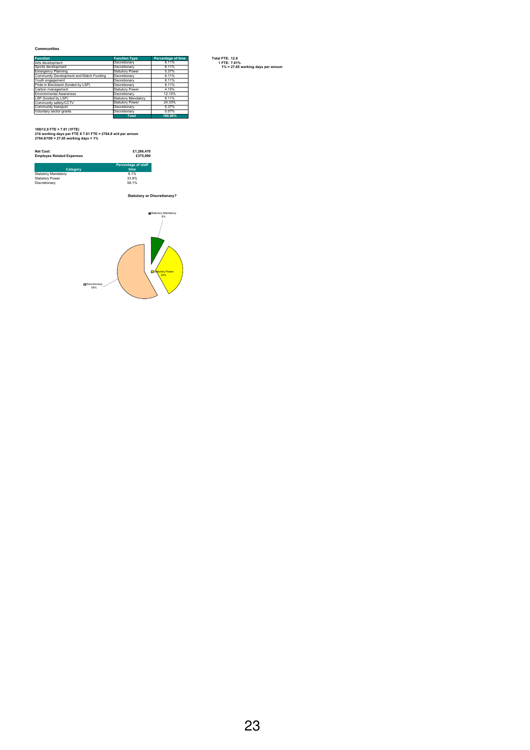#### **Communities**

| <b>Function</b>                         | <b>Function Type</b>   | <b>Percentage of time</b> |
|-----------------------------------------|------------------------|---------------------------|
| Arts development                        | Discretionary          | 8.11%                     |
| Sports development                      | Discretionary          | 8.11%                     |
| <b>Emergency Planning</b>               | Statutory Power        | 5.37%                     |
| Community Development and Match Funding | Discretionary          | 8.11%                     |
| Youth engagement                        | Discretionary          | 8.11%                     |
| Pride in Breckland (funded by LSP)      | Discretionary          | 8.11%                     |
| Carbon management                       | <b>Statutory Power</b> | 4.10%                     |
| <b>Environmental Awareness</b>          | Discretionary          | 12.10%                    |
| LSP (funded by LSP)                     | Statutory Mandatory    | 8.11%                     |
| Community safety/CCTV                   | <b>Statutory Power</b> | 24.33%                    |
| Community transport                     | Discretionary          | 5.37%                     |
| Voluntary sector grants                 | Discretionary          | 0.07%                     |
|                                         | <b>Total</b>           | 100.00%                   |

*Statutory Mandatory* **100/12.8 FTE = 7.81 (1FTE) 216 working days per FTE X 7.81 FTE = 2764.8 w/d per annum 2764.8/100 = 27.65 working days = 1%**

| Net Cost:<br><b>Employee Related Expenses</b> | £1.286.470<br>£375,090             |
|-----------------------------------------------|------------------------------------|
| Category                                      | <b>Percentage of staff</b><br>time |
| <b>Statutory Mandatory</b>                    | 8.1%                               |
| <b>Statutory Power</b>                        | 33.8%                              |
| Discretionary                                 | 58.1%                              |

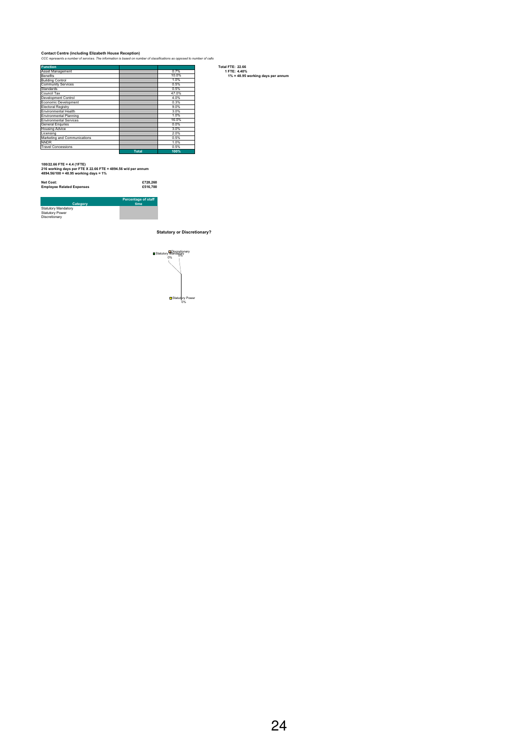#### **Contact Centre (including Elizabeth House Reception)** *CCC represents a number of services. The information is based on number of classifications as opposed to number of calls*

| <b>Function</b>               |              |       | <b>Total FTE: 22.66</b>           |
|-------------------------------|--------------|-------|-----------------------------------|
| <b>Asset Management</b>       |              | 0.7%  | 1 FTE: 4.40%                      |
| Benefits                      |              | 10.0% | 1% = 48.95 working days per annum |
| <b>Building Control</b>       |              | 1.0%  |                                   |
| <b>Community Services</b>     |              | 0.5%  |                                   |
| Standards                     |              | 0.5%  |                                   |
| Council Tax                   |              | 47.0% |                                   |
| Development Control           |              | 4.0%  |                                   |
| Economic Development          |              | 0.3%  |                                   |
| Electoral Registry            |              | 9.0%  |                                   |
| Environmental Health          |              | 3.0%  |                                   |
| Environmental Planning        |              | 1.0%  |                                   |
| <b>Environmental Services</b> |              | 16.0% |                                   |
| <b>General Enguries</b>       |              | 0.0%  |                                   |
| <b>Housing Advice</b>         |              | 3.0%  |                                   |
| Licensina                     |              | 2.0%  |                                   |
| Marketing and Communications  |              | 0.5%  |                                   |
| <b>NNDR</b>                   |              | 1.0%  |                                   |
| <b>Travel Concessions</b>     |              | 0.5%  |                                   |
|                               | <b>Total</b> | 100%  |                                   |

*Statutory Mandatory* **100/22.66 FTE = 4.4 (1FTE) 216 working days per FTE X 22.66 FTE = 4894.56 w/d per annum 4894.56/100 = 48.95 working days = 1%**

**Net Cost: £728,260 Employee Related Expenses £516,700**

| Category                   | <b>Percentage of staff</b><br>time |
|----------------------------|------------------------------------|
| <b>Statutory Mandatory</b> |                                    |
| <b>Statutory Power</b>     |                                    |
| Discretionary              |                                    |

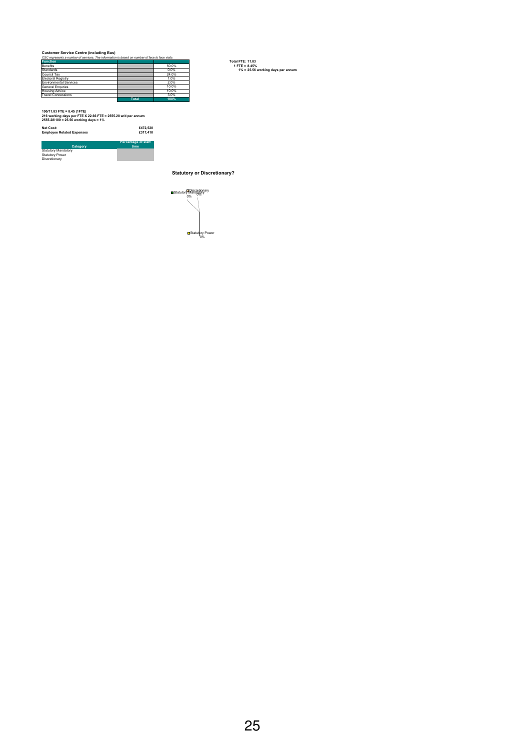**Customer Service Centre (including Bus)** *CSC represents a number of services. The information is based on number of face to face visits*

| CSC represents a number of services. The information is pased on number of face to face visits |              |       |                                   |
|------------------------------------------------------------------------------------------------|--------------|-------|-----------------------------------|
| <b>Function</b>                                                                                |              |       | <b>Total FTE: 11.83</b>           |
| Benefits                                                                                       |              | 50.0% | $1$ FTE = 8.45%                   |
| <b>Standards</b>                                                                               |              | 0.0%  | 1% = 25.56 working days per annum |
| Council Tax                                                                                    |              | 24.0% |                                   |
| <b>Electoral Registry</b>                                                                      |              | 1.0%  |                                   |
| <b>Environmental Services</b>                                                                  |              | 2.0%  |                                   |
| <b>General Enguries</b>                                                                        |              | 10.0% |                                   |
| <b>Housing Advice</b>                                                                          |              | 10.0% |                                   |
| <b>Travel Concessions</b>                                                                      |              | 3.0%  |                                   |
|                                                                                                | <b>Total</b> | 100%  |                                   |

*Statutory Mandatory* **100/11.83 FTE = 8.45 (1FTE) 216 working days per FTE X 22.66 FTE = 2555.28 w/d per annum 2555.28/100 = 25.56 working days = 1%**

| Net Cost:<br><b>Employee Related Expenses</b> | £472.520<br>£317.410               |
|-----------------------------------------------|------------------------------------|
| Category                                      | <b>Percentage of staff</b><br>time |
| <b>Statutory Mandatory</b>                    |                                    |
| <b>Statutory Power</b>                        |                                    |
| Discretionary                                 |                                    |

Statutory Mandatory Statutory Power Discretionary

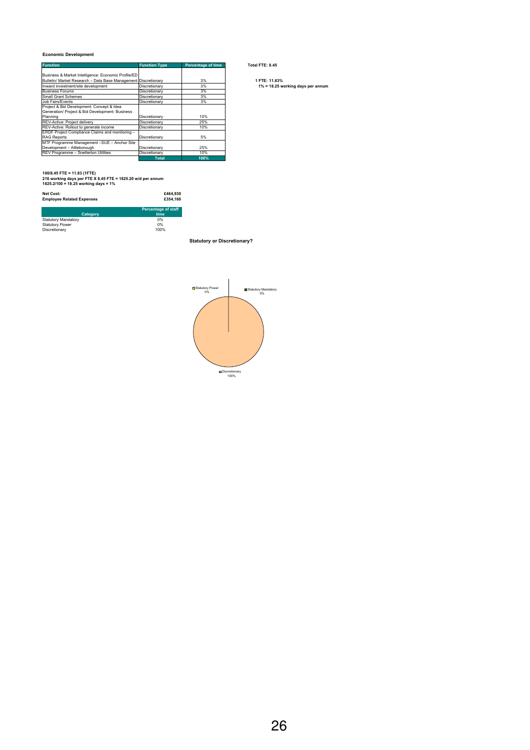#### **Economic Development**

| <b>Function</b>                                                | Function Type | Percentage of time | lotal FIE: 8.45                   |
|----------------------------------------------------------------|---------------|--------------------|-----------------------------------|
| Business & Market Intelligence: Economic Profile/ED            |               |                    |                                   |
| Bulletin/ Market Research - Data Base Management Discretionary |               | 3%                 | 1 FTE: 11.83%                     |
| Inward investment/site development                             | Discretionary | 3%                 | 1% = 18.25 working days per annum |
| <b>Business Forums</b>                                         | Discretionary | 3%                 |                                   |
| <b>Small Grant Schemes</b>                                     | Discretionary | 3%                 |                                   |
| Job Fairs/Events                                               | Discretionary | 3%                 |                                   |
| Project & Bid Development: Concept & Idea                      |               |                    |                                   |
| Generation/ Project & Bid Development: Business                |               |                    |                                   |
| Planning                                                       | Discretionary | 10%                |                                   |
| <b>REV-Active: Project delivery</b>                            | Discretionary | 25%                |                                   |
| REV-Active: Rollout to generate income                         | Discretionary | 10%                |                                   |
| ERDF Project Compliance Claims and monitoring -                |               |                    |                                   |
| <b>RAG Reports</b>                                             | Discretionary | 5%                 |                                   |
| MTF Programme Management -SUE - Anchor Site                    |               |                    |                                   |
| Development - Attleborough                                     | Discretionary | 25%                |                                   |
| REV Programme - Snetterton Utilities                           | Discretionary | 10%                |                                   |
|                                                                | Total         | 100%               |                                   |

**100/8.45 FTE = 11.83 (1FTE) 216 working days per FTE X 8.45 FTE = 1825.20 w/d per annum 1825.2/100 = 18.25 working days = 1%**

| Net Cost:<br><b>Employee Related Expenses</b> | £464.930<br>£354.160       |  |
|-----------------------------------------------|----------------------------|--|
|                                               | <b>Percentage of staff</b> |  |
| Category                                      | time                       |  |
| <b>Statutory Mandatory</b>                    | 0%                         |  |
| <b>Statutory Power</b>                        | 0%                         |  |
| Discretionary                                 | 100%                       |  |

**Statutory or Discretionary?**



#### **Function Function Type Percentage of time Total FTE: 8.45**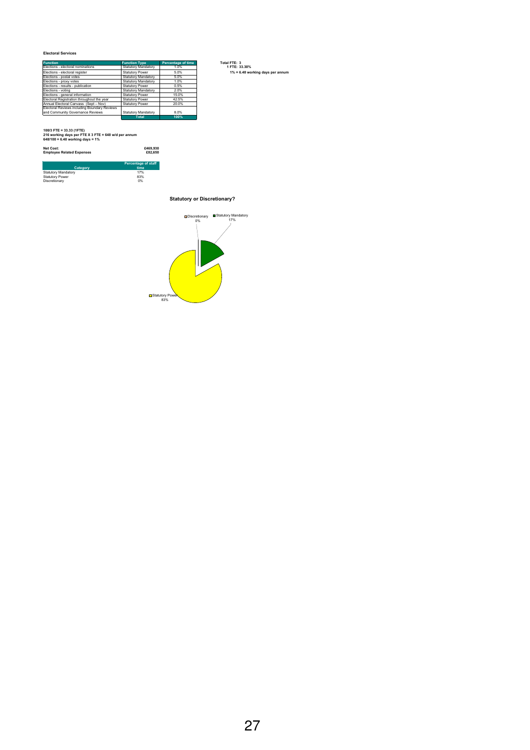#### **Electoral Services**

| <b>Function</b>                              | <b>Function Type</b>       | <b>Percentage of time</b> | Total FTE: 3                     |
|----------------------------------------------|----------------------------|---------------------------|----------------------------------|
| Elections - electoral nominations            | Statutory Mandatory        | 1.0%                      | 1 FTE: 33.30%                    |
| Elections - electoral register               | <b>Statutory Power</b>     | 5.0%                      | 1% = 6.48 working days per annum |
| Elections - postal votes                     | <b>Statutory Mandatory</b> | 5.0%                      |                                  |
| Elections - proxy votes                      | <b>Statutory Mandatory</b> | 1.0%                      |                                  |
| Elections - results - publication            | <b>Statutory Power</b>     | 0.5%                      |                                  |
| Elections - voting                           | <b>Statutory Mandatory</b> | 2.0%                      |                                  |
| Elections - general information              | <b>Statutory Power</b>     | 15.0%                     |                                  |
| Electoral Registration throughout the year   | <b>Statutory Power</b>     | 42.5%                     |                                  |
| Annual Electoral Canvass (Sept - Nov)        | <b>Statutory Power</b>     | 20.0%                     |                                  |
| Electoral Reviews including Boundary Reviews |                            |                           |                                  |
| and Community Governance Reviews             | <b>Statutory Mandatory</b> | 8.0%                      |                                  |
|                                              | <b>Total</b>               | 100%                      |                                  |

**Percentage of staff**  time<br>17%<br>83%<br>0%

*Statutory Mandatory* **100/3 FTE = 33.33 (1FTE) 216 working days per FTE X 3 FTE = 648 w/d per annum 648/100 = 6.48 working days = 1%**

Statutory Mandatory 17% Statutory Power 83% Discretionary 0%

**Category**

**Net Cost: £469,930 Employee Related Expenses £82,650**

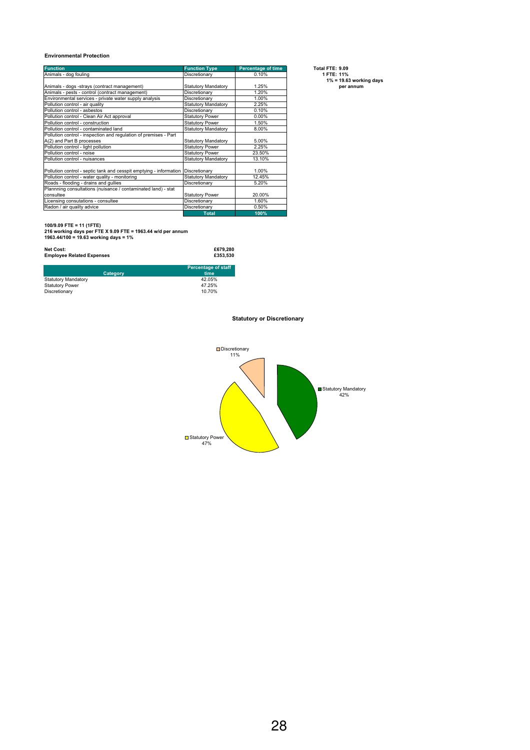#### **Environmental Protection**

| <b>Function</b>                                                    | <b>Function Type</b>       | <b>Percentage of time</b> | Total FTE: 9.09            |
|--------------------------------------------------------------------|----------------------------|---------------------------|----------------------------|
| Animals - dog fouling                                              | Discretionary              | 0.10%                     | 1 FTE: 11%                 |
|                                                                    |                            |                           | $1\% = 19.63$ working days |
| Animals - dogs -strays (contract management)                       | Statutory Mandatory        | 1.25%                     | per annum                  |
| Animals - pests - control (contract management)                    | Discretionary              | 1.20%                     |                            |
| Environmental services - private water supply analysis             | Discretionary              | 1.00%                     |                            |
| Pollution control - air quality                                    | <b>Statutory Mandatory</b> | 2.25%                     |                            |
| Pollution control - asbestos                                       | Discretionary              | 0.10%                     |                            |
| Pollution control - Clean Air Act approval                         | <b>Statutory Power</b>     | $0.00\%$                  |                            |
| Pollution control - construction                                   | <b>Statutory Power</b>     | 1.50%                     |                            |
| Pollution control - contaminated land                              | <b>Statutory Mandatory</b> | 8.00%                     |                            |
| Pollution control - inspection and regulation of premises - Part   |                            |                           |                            |
| A(2) and Part B processes                                          | Statutory Mandatory        | 5.00%                     |                            |
| Pollution control - light pollution                                | <b>Statutory Power</b>     | 2.25%                     |                            |
| Pollution control - noise                                          | <b>Statutory Power</b>     | 23.50%                    |                            |
| Pollution control - nuisances                                      | <b>Statutory Mandatory</b> | 13.10%                    |                            |
|                                                                    |                            |                           |                            |
| Pollution control - septic tank and cesspit emptying - information | Discretionary              | 1.00%                     |                            |
| Pollution control - water quality - monitoring                     | <b>Statutory Mandatory</b> | 12.45%                    |                            |
| Roads - flooding - drains and gullies                              | Discretionary              | 5.20%                     |                            |
| Plannning consultations (nuisance / contaminated land) - stat      |                            |                           |                            |
| consultee                                                          | <b>Statutory Power</b>     | 20.00%                    |                            |
| Licensing consutations - consultee                                 | Discretionary              | 1.60%                     |                            |
| Radon / air quailty advice                                         | Discretionary              | 0.50%                     |                            |
|                                                                    | <b>Total</b>               | 100%                      |                            |

**100/9.09 FTE = 11 (1FTE) 216 working days per FTE X 9.09 FTE = 1963.44 w/d per annum 1963.44/100 = 19.63 working days = 1%**

| Net Cost:<br><b>Employee Related Expenses</b> | £679.280<br>£353.530               |
|-----------------------------------------------|------------------------------------|
| Category                                      | <b>Percentage of staff</b><br>time |
| <b>Statutory Mandatory</b>                    | 42.05%                             |
| <b>Statutory Power</b>                        | 47.25%                             |
| Discretionary                                 | 10.70%                             |

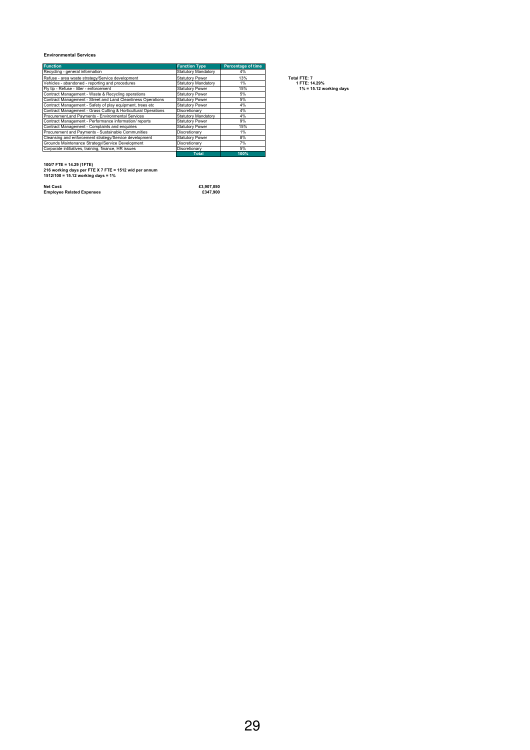#### **Environmental Services**

| <b>Function</b>                                                | <b>Function Type</b>       | <b>Percentage of time</b> |                            |
|----------------------------------------------------------------|----------------------------|---------------------------|----------------------------|
| Recycling - general information                                | <b>Statutory Mandatory</b> | 4%                        |                            |
| Refuse - area waste strategy/Service development               | <b>Statutory Power</b>     | 13%                       | Total FTE: 7               |
| Vehicles - abandoned - reporting and procedures                | <b>Statutory Mandatory</b> | 1%                        | 1 FTE: 14.29%              |
| Fly tip - Refuse - litter - enforcement                        | <b>Statutory Power</b>     | 15%                       | $1\% = 15.12$ working days |
| Contract Management - Waste & Recycling operations             | <b>Statutory Power</b>     | 5%                        |                            |
| Contract Management - Street and Land Cleanliness Operations   | <b>Statutory Power</b>     | 5%                        |                            |
| Contract Management - Safety of play equipment, trees etc      | <b>Statutory Power</b>     | 4%                        |                            |
| Contract Management - Grass Cutting & Horticultural Operations | Discretionary              | 4%                        |                            |
| Procurement, and Payments - Environmental Services             | <b>Statutory Mandatory</b> | 4%                        |                            |
| Contract Management - Performance information/reports          | <b>Statutory Power</b>     | 9%                        |                            |
| Contract Management - Complaints and enquiries                 | <b>Statutory Power</b>     | 15%                       |                            |
| Procurement and Payments - Sustainable Communities             | Discretionary              | 1%                        |                            |
| Cleansing and enforcement strategy/Service development         | <b>Statutory Power</b>     | 8%                        |                            |
| Grounds Maintenance Strategy/Service Development               | Discretionary              | 7%                        |                            |
| Corporate intitiatives, training, finance, HR issues           | Discretionary              | 5%                        |                            |
|                                                                | <b>Total</b>               | 100%                      |                            |

**100/7 FTE = 14.29 (1FTE) 216 working days per FTE X 7 FTE = 1512 w/d per annum 1512/100 = 15.12 working days = 1%**

**Net Cost: £3,907,050 Employee Related Expenses £347,900**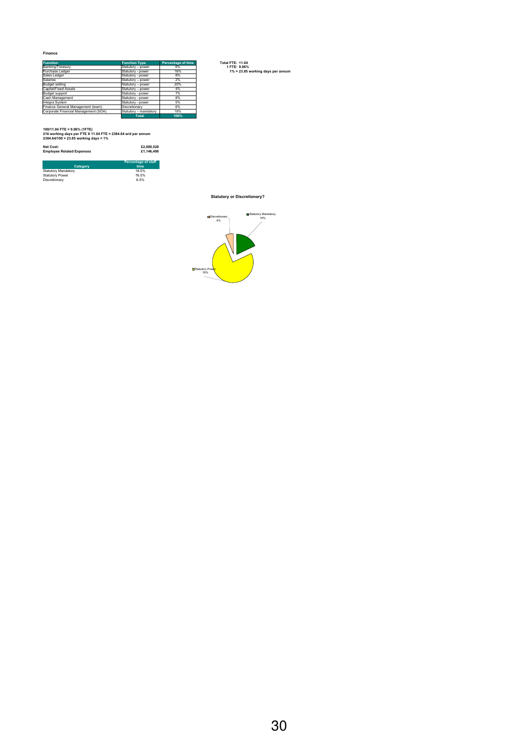#### **Finance**

| <b>Function</b>                      | <b>Function Type</b>  | <b>Percentage of time</b> | <b>Total FTE: 11.04</b>           |
|--------------------------------------|-----------------------|---------------------------|-----------------------------------|
| Banking/Treasury                     | Statutory - power     | 6%                        | 1 FTE: 9.06%                      |
| Purchase Ledger                      | Statutory - power     | 16%                       | 1% = 23.85 working days per annum |
| Sales Ledger                         | Statutory - power     | 8%                        |                                   |
| Salaries                             | Statutory - power     | 2%                        |                                   |
| Budget setting                       | Statutory - power     | 20%                       |                                   |
| Capital/Fixed Assets                 | Statutory - power     | 4%                        |                                   |
| Budget support                       | Statutory - power     | 7%                        |                                   |
| Cash Management                      | Statutory - power     | 8%                        |                                   |
| Integra System                       | Statutory - power     | 5%                        |                                   |
| Finance General Management (team)    | Discretionary         | 6%                        |                                   |
| Corporate Financial Management (SOA) | Statutory - mandatory | 18%                       |                                   |
|                                      | <b>Total</b>          | 100%                      |                                   |

*Statutory Mandatory* **100/11.04 FTE = 9.06% (1FTE) 216 working days per FTE X 11.04 FTE = 2384.64 w/d per annum 2384.64/100 = 23.85 working days = 1%**

| Net Cost:                                                                                               | £2,000.520                 |
|---------------------------------------------------------------------------------------------------------|----------------------------|
| <b>Employee Related Expenses</b>                                                                        | £1.146.490                 |
|                                                                                                         | <b>Percentage of staff</b> |
| Category                                                                                                | time                       |
| $P_{1}$ and $P_{2}$ and $P_{3}$ and $P_{4}$ and $P_{5}$ and $P_{6}$ and $P_{7}$ and $P_{8}$ and $P_{9}$ | 40.001                     |

| <b>Statutory Mandatory</b> | 18.0% |
|----------------------------|-------|
| <b>Statutory Power</b>     | 76.0% |
| Discretionary              | 6.0%  |
|                            |       |

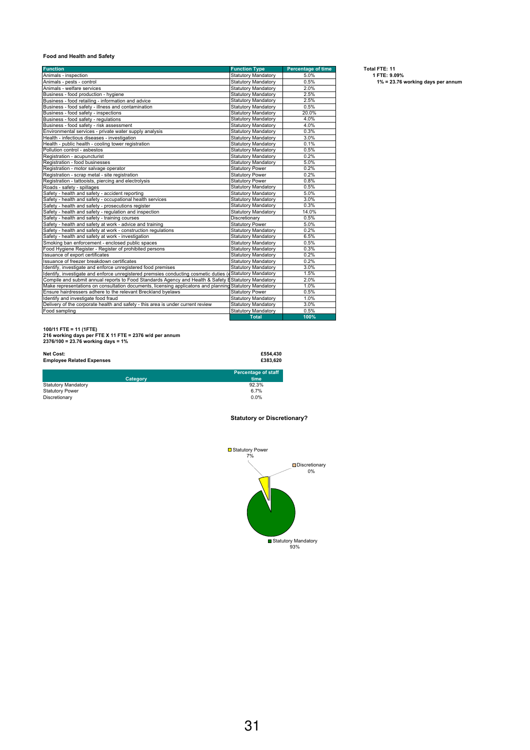#### **Food and Health and Safety**

| <b>Function</b>                                                                                          | <b>Function Type</b>       | <b>Percentage of time</b> | Total FTE: 11 |
|----------------------------------------------------------------------------------------------------------|----------------------------|---------------------------|---------------|
| Animals - inspection                                                                                     | <b>Statutory Mandatory</b> | 5.0%                      | 1 FTE: 9.0    |
| Animals - pests - control                                                                                | <b>Statutory Mandatory</b> | 0.5%                      | $1\% = 23$    |
| Animals - welfare services                                                                               | <b>Statutory Mandatory</b> | 2.0%                      |               |
| Business - food production - hygiene                                                                     | <b>Statutory Mandatory</b> | 2.5%                      |               |
| Business - food retailing - information and advice                                                       | <b>Statutory Mandatory</b> | 2.5%                      |               |
| Business - food safety - illness and contamination                                                       | <b>Statutory Mandatory</b> | 0.5%                      |               |
| Business - food safety - inspections                                                                     | <b>Statutory Mandatory</b> | 20.0%                     |               |
| Business - food safety - regulations                                                                     | <b>Statutory Mandatory</b> | 4.0%                      |               |
| Business - food safety - risk assessment                                                                 | <b>Statutory Mandatory</b> | 4.0%                      |               |
| Environmental services - private water supply analysis                                                   | <b>Statutory Mandatory</b> | 0.3%                      |               |
| Health - infectious diseases - investigation                                                             | <b>Statutory Mandatory</b> | 3.0%                      |               |
| Health - public health - cooling tower registration                                                      | <b>Statutory Mandatory</b> | 0.1%                      |               |
| Pollution control - asbestos                                                                             | <b>Statutory Mandatory</b> | 0.5%                      |               |
| Registration - acupuncturist                                                                             | <b>Statutory Mandatory</b> | 0.2%                      |               |
| Registration - food businesses                                                                           | <b>Statutory Mandatory</b> | 5.0%                      |               |
| Registration - motor salvage operator                                                                    | <b>Statutory Power</b>     | 0.2%                      |               |
| Registration - scrap metal - site registration                                                           | <b>Statutory Power</b>     | 0.2%                      |               |
| Registration - tattooists, piercing and electrolysis                                                     | <b>Statutory Power</b>     | 0.8%                      |               |
| Roads - safety - spillages                                                                               | <b>Statutory Mandatory</b> | 0.5%                      |               |
| Safety - health and safety - accident reporting                                                          | <b>Statutory Mandatory</b> | 5.0%                      |               |
| Safety - health and safety - occupational health services                                                | <b>Statutory Mandatory</b> | 3.0%                      |               |
| Safety - health and safety - prosecutions register                                                       | <b>Statutory Mandatory</b> | 0.3%                      |               |
| Safety - health and safety - regulation and inspection                                                   | <b>Statutory Mandatory</b> | 14.0%                     |               |
| Safety - health and safety - training courses                                                            | Discretionary              | 0.5%                      |               |
| Safety - health and safety at work - advice and training                                                 | <b>Statutory Power</b>     | 5.0%                      |               |
| Safety - health and safety at work - construction regulations                                            | <b>Statutory Mandatory</b> | 0.2%                      |               |
| Safety - health and safety at work - investigation                                                       | <b>Statutory Mandatory</b> | 6.5%                      |               |
| Smoking ban enforcement - enclosed public spaces                                                         | <b>Statutory Mandatory</b> | 0.5%                      |               |
| Food Hygiene Register - Register of prohibited persons                                                   | <b>Statutory Mandatory</b> | 0.3%                      |               |
| Issuance of export certificates                                                                          | <b>Statutory Mandatory</b> | 0.2%                      |               |
| Issuance of freezer breakdown certificates                                                               | <b>Statutory Mandatory</b> | 0.2%                      |               |
| Identify, investigate and enforce unregistered food premises                                             | <b>Statutory Mandatory</b> | 3.0%                      |               |
| Identify, investigate and enforce unregistered premsies conducting cosmetic duties (dStatutory Mandatory |                            | 1.5%                      |               |
| Compile and submit annual reports to Food Standards Agency and Health & Safety EStatutory Mandatory      |                            | 2.0%                      |               |
| Make representations on consultation documents, licensing applicatons and planning Statutory Mandatory   |                            | 1.0%                      |               |
| Ensure hairdressers adhere to the relevant Breckland byelaws                                             | <b>Statutory Power</b>     | 0.5%                      |               |
| Ildentify and investigate food fraud                                                                     | <b>Statutory Mandatory</b> | 1.0%                      |               |
| Delivery of the corporate health and safety - this area is under current review                          | <b>Statutory Mandatory</b> | 3.0%                      |               |
| Food sampling                                                                                            | <b>Statutory Mandatory</b> | 0.5%                      |               |
|                                                                                                          | <b>Total</b>               | 100%                      |               |

Animals - inspection Statutory Mandatory 5.0% **1 FTE: 9.09%** 1. Pests - control Statutors - person<br>1% = 23.76 working days per annum

**100/11 FTE = 11 (1FTE) 216 working days per FTE X 11 FTE = 2376 w/d per annum 2376/100 = 23.76 working days = 1%**

#### **Net Cost: £554,430 Employee Related Expenses £383,620**

|                            | Percentage of staff |
|----------------------------|---------------------|
| Category                   | time                |
| <b>Statutory Mandatory</b> | 92.3%               |
| <b>Statutory Power</b>     | 6.7%                |
| Discretionary              | 0.0%                |

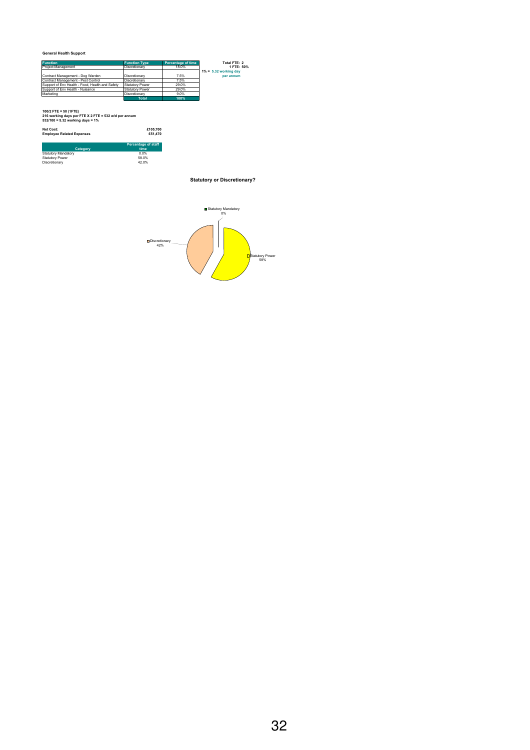#### **General Health Support**

| <b>Function</b>                                 | <b>Function Type</b>   | Percentage of time | Total FTE: 2             |
|-------------------------------------------------|------------------------|--------------------|--------------------------|
| Project Management                              | Discretionary          | 18.0%              | 1 FTE: 50%               |
|                                                 |                        |                    | $1\% = 5.32$ working day |
| Contract Management - Dog Warden                | Discretionary          | 7.5%               | per annum                |
| Contract Management - Pest Control              | Discretionary          | 7.5%               |                          |
| Support of Env Health - Food, Health and Safety | <b>Statutory Power</b> | 29.0%              |                          |
| Support of Env Health - Nuisance                | Statutory Power        | 29.0%              |                          |
| Marketing                                       | Discretionary          | 9.0%               |                          |
|                                                 | <b>Total</b>           | 100%               |                          |

**100/2 FTE = 50 (1FTE) 216 working days per FTE X 2 FTE = 532 w/d per annum 532/100 = 5.32 working days = 1%**

| Net Cost:                        | £105,700                           |
|----------------------------------|------------------------------------|
| <b>Employee Related Expenses</b> | £51,470                            |
| Category                         | <b>Percentage of staff</b><br>time |

| <b>Statutory Mandatory</b> | 0.0%  |
|----------------------------|-------|
| <b>Statutory Power</b>     | 58.0% |
| Discretionary              | 42.0% |
|                            |       |

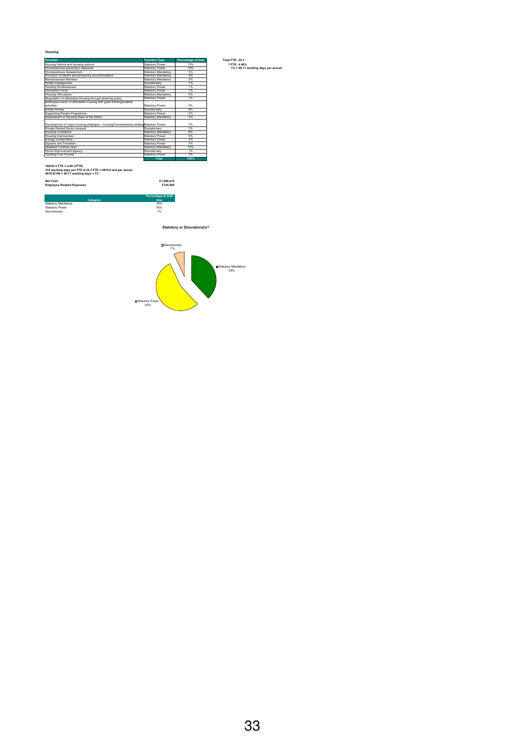#### **Housing**

| <b>Function</b>                                                                        | <b>Function Type</b>   | <b>Percentage of time</b> | Total FTF: 22.3                   |
|----------------------------------------------------------------------------------------|------------------------|---------------------------|-----------------------------------|
| Housing Advice and housing options                                                     | Statutory Power        | 13%                       | 1 FTE: 4.48%                      |
| Homelessness prevention casework                                                       | <b>Statutory Power</b> | 10%                       | 1% = 48.17 working days per annum |
| Homelessness Assessment                                                                | Statutory Mandatory    | 5%                        |                                   |
| Provision of Interim and temporary accommodation                                       | Statutory Mandatory    | 4%                        |                                   |
| Homelessness Reviews                                                                   | Statutory Mandatory    | 2%                        |                                   |
| Hostel management                                                                      | Discretionary          | 1%                        |                                   |
| <b>Tackling Worklessness</b>                                                           | <b>Statutory Power</b> | 1%                        |                                   |
| Homeless Forum                                                                         | Statutory Power        | 1%                        |                                   |
| Housing Allocations                                                                    | Statutory Mandatory    | 5%                        |                                   |
| Negotiation of affordable Housing through planning policy                              | Statutory Power        | 7%                        |                                   |
| Bidding/provision of affordable housing with grant funding/enabling                    |                        |                           |                                   |
| activities                                                                             | Statutory Power        | 5%                        |                                   |
| <b>Empty Homes</b>                                                                     | Discretionary          | 4%                        |                                   |
| Supporting People Programme                                                            | Statutory Power        | 2%                        |                                   |
| Assessment of Housing Need of the distric                                              | Statutory Mandatory    | 2%                        |                                   |
| Development of major housing strategies - housing/homelessness strategiStatutory Power |                        | 2%                        |                                   |
| Private Rented Sector renewal                                                          | Discretionary          | 1%                        |                                   |
| <b>Housing Conditions</b>                                                              | Statutory Mandatory    | 8%                        |                                   |
| Housing improvement                                                                    | <b>Statutory Power</b> | 5%                        |                                   |
| Energy conservation                                                                    | <b>Statutory Power</b> | 3%                        |                                   |
| Gypsies and Travellers                                                                 | <b>Statutory Power</b> | 3%                        |                                   |
| <b>Disabled Facilities Gran</b>                                                        | Statutory Mandatory    | 12%                       |                                   |
| Home Improvement Agency                                                                | Discretionary          | 1%                        |                                   |
| <b>Tackling Fuel Poverty</b>                                                           | <b>Statutory Power</b> | 3%                        |                                   |
|                                                                                        | <b>Total</b>           | 100%                      |                                   |

#### **100/22.3 FTE = 4.48 (1FTE) 216 working days per FTE X 22.3 FTE = 4816.8 w/d per annum 4816.8/100 = 48.17 working days = 1%**

**Net Cost: £1,896,410 Employee Related Expenses £745,560**

**Category** Statutory Mandatory 38% Statutory Power 55% Discretionary 7%

**Statutory or Discretionary?**

**Percentage of staff**  38%<br>55%<br>7%

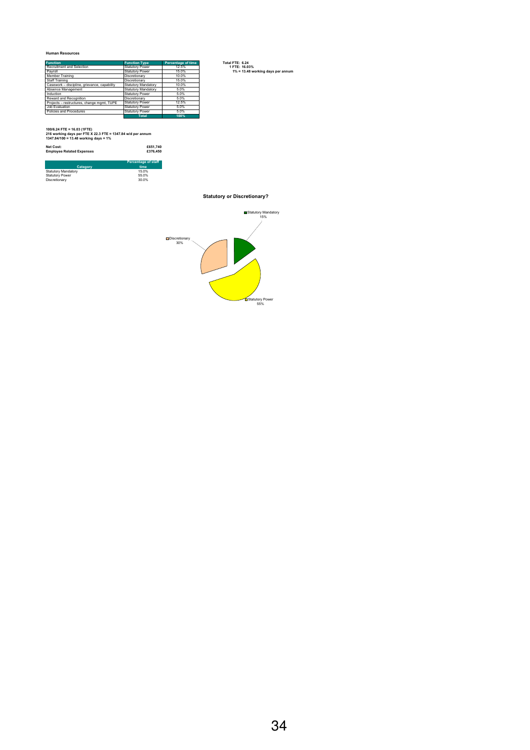#### **Human Resources**

| <b>Function</b>                              | <b>Function Type</b>   | Percentage of time | Total FTE: 6.24                   |
|----------------------------------------------|------------------------|--------------------|-----------------------------------|
| Recruitment and Selection                    | Statutory Power        | 12.5%              | 1 FTE: 16.03%                     |
| Pavroll                                      | Statutory Power        | 15.0%              | 1% = 13.48 working days per annum |
| Member Training                              | Discretionary          | 10.0%              |                                   |
| Staff Training                               | Discretionary          | 15.0%              |                                   |
| Casework - discipline, grievance, capability | Statutory Mandatory    | 10.0%              |                                   |
| Absence Management                           | Statutory Mandatory    | 5.0%               |                                   |
| Induction                                    | <b>Statutory Power</b> | 5.0%               |                                   |
| Reward and Recognition                       | Discretionary          | 5.0%               |                                   |
| Projects - restructures, change mgmt, TUPE   | Statutory Power        | 12.5%              |                                   |
| Job Evaluation                               | Statutory Power        | 5.0%               |                                   |
| Policies and Procedures                      | <b>Statutory Power</b> | 5.0%               |                                   |
|                                              | <b>Total</b>           | 100%               |                                   |

**100/6.24 FTE = 16.03 (1FTE) 216 working days per FTE X 22.3 FTE = 1347.84 w/d per annum 1347.84/100 = 13.48 working days = 1%**

| Net Cost:                        | £651.740                           |
|----------------------------------|------------------------------------|
| <b>Employee Related Expenses</b> | £376,450                           |
| Category                         | <b>Percentage of staff</b><br>time |

| <b>Statutory Mandatory</b> | 15.0% |
|----------------------------|-------|
| <b>Statutory Power</b>     | 55.0% |
| Discretionary              | 30.0% |
|                            |       |

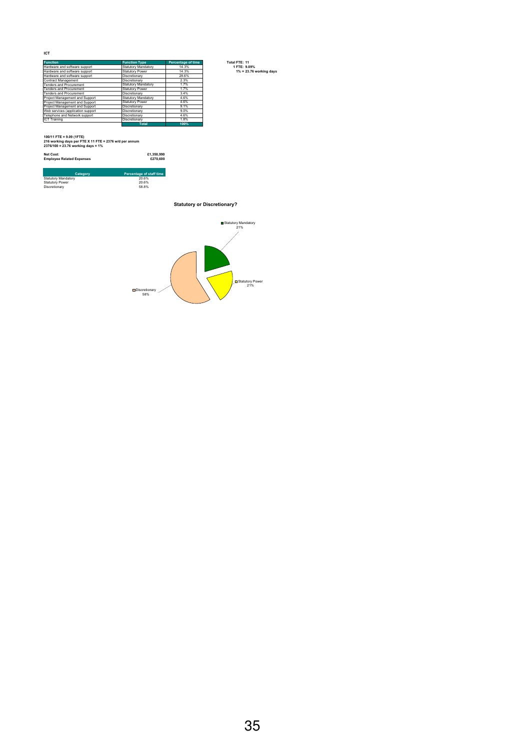**ICT**

| <b>Function</b>                   | <b>Function Type</b>   | Percentage of time | Total FTE: 11              |
|-----------------------------------|------------------------|--------------------|----------------------------|
| Hardware and software support     | Statutory Mandatory    | 14.3%              | 1 FTE: 9.09%               |
| Hardware and software support     | Statutory Power        | 14.3%              | $1\% = 23.76$ working days |
| Hardware and software support     | Discretionary          | 28.6%              |                            |
| Contract Management               | Discretionary          | 2.3%               |                            |
| Tenders and Procurement           | Statutory Mandatory    | 1.7%               |                            |
| Tenders and Procurement           | Statutory Power        | 1.7%               |                            |
| Tenders and Procurement           | Discretionary          | 3.4%               |                            |
| Project Management and Support    | Statutory Mandatory    | 4.6%               |                            |
| Project Management and Support    | <b>Statutory Power</b> | 4.6%               |                            |
| Project Management and Support    | Discretionary          | 9.1%               |                            |
| Web services (application support | Discretionary          | 9.0%               |                            |
| Telephone and Network support     | Discretionary          | 4.6%               |                            |
| <b>IICT Training</b>              | Discretionary          | 1.8%               |                            |
|                                   | <b>Total</b>           | 100%               |                            |

*Statutory Mandatory* **100/11 FTE = 9.09 (1FTE) 216 working days per FTE X 11 FTE = 2376 w/d per annum 2376/100 = 23.76 working days = 1%**

**Net Cost: £1,350,990 Employee Related Expenses £270,600**

|                            | -------                  |
|----------------------------|--------------------------|
| Category                   | Percentage of staff time |
| <b>Statutory Mandatory</b> | 20.6%                    |
| <b>Statutory Power</b>     | 20.6%                    |
| Discretionary              | 58.8%                    |

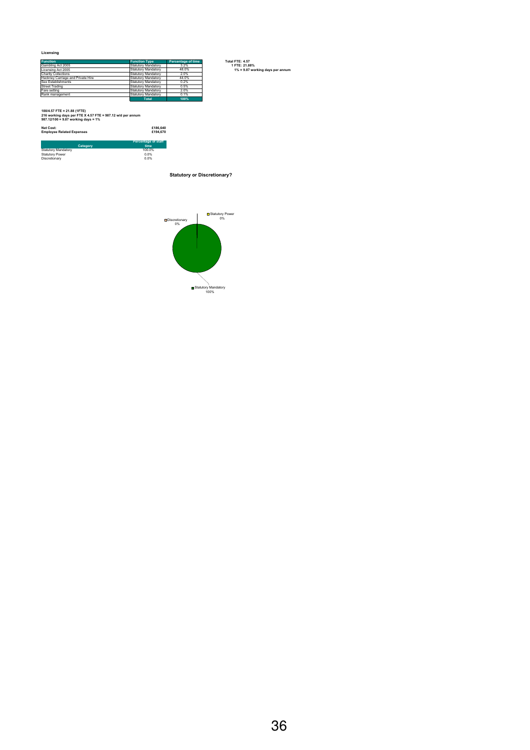**Licensing**

| <b>Function</b>                   | <b>Function Type</b> | Percentage of time | Total FTE: 4.57                  |
|-----------------------------------|----------------------|--------------------|----------------------------------|
| Gambling Act 2005                 | Statutory Mandatory  | 3.2%               | 1 FTE: 21.88%                    |
| Licensing Act 2005                | Statutory Mandatory  | 48.0%              | 1% = 9.87 working days per annum |
| Charity Collections               | Statutory Mandatory  | 2.0%               |                                  |
| Hackney Carriage and Private Hire | Statutory Mandatory  | 44.0%              |                                  |
| Sex Establishments                | Statutory Mandatory  | 0.2%               |                                  |
| <b>Street Trading</b>             | Statutory Mandatory  | 0.5%               |                                  |
| Fare setting                      | Statutory Mandatory  | 2.0%               |                                  |
| Rank management                   | Statutory Mandatory  | 0.1%               |                                  |
|                                   | <b>Total</b>         | 100%               |                                  |

*Statutory Mandatory* **100/4.57 FTE = 21.88 (1FTE) 216 working days per FTE X 4.57 FTE = 987.12 w/d per annum 987.12/100 = 9.87 working days = 1%**

| <b>Net Cost:</b><br><b>Employee Related Expenses</b> | £186.640<br>£194,670               |
|------------------------------------------------------|------------------------------------|
|                                                      |                                    |
| Category                                             | <b>Percentage of staff</b><br>time |

Statutory Mandatory 100.0% Statutory Power 0.0% Discretionary 0.0%

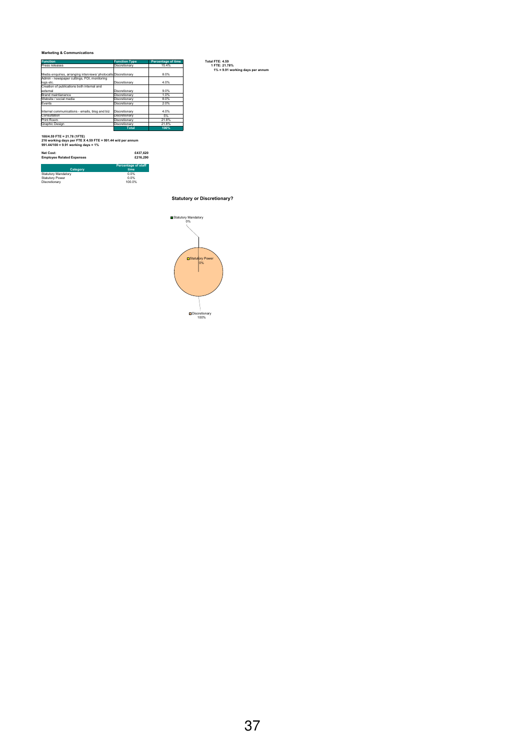#### **Marketing & Communications**

| <b>Function</b>                                                 | <b>Function Type</b> | <b>Percentage of time</b> | Total FTE: 4.59                  |
|-----------------------------------------------------------------|----------------------|---------------------------|----------------------------------|
| Press releases                                                  | Discretionary        | 15.4%                     | 1 FTE: 21.78%                    |
|                                                                 |                      |                           | 1% = 9.91 working days per annum |
| Media enquiries, arranging interviews/ photocalls Discretionary |                      | 8.0%                      |                                  |
| Admin - newspaper cuttings, FOI, monitoring                     |                      |                           |                                  |
| logs etc.                                                       | Discretionary        | 4.0%                      |                                  |
| Creation of publications both internal and                      |                      |                           |                                  |
| external                                                        | Discretionary        | 9.0%                      |                                  |
| <b>Brand maintianance</b>                                       | Discretionary        | 1.0%                      |                                  |
| Website / social media                                          | Discretionary        | 8.0%                      |                                  |
| Events                                                          | Discretionary        | 2.0%                      |                                  |
|                                                                 |                      |                           |                                  |
| Internal communications - emails, blog and biz                  | Discretionary        | 4.0%                      |                                  |
| Consultation                                                    | Discretionary        | 5%                        |                                  |
| Print Room                                                      | Discretionary        | 21.8%                     |                                  |
| <b>Graphic Design</b>                                           | Discretionary        | 21.8%                     |                                  |
|                                                                 | <b>Total</b>         | 100%                      |                                  |

**100/4.59 FTE = 21.78 (1FTE) 216 working days per FTE X 4.59 FTE = 991.44 w/d per annum 991.44/100 = 9.91 working days = 1%**

#### **Net Cost: £437,620 Employee Related Expenses £216,290**

|                            | <b>Percentage of staff</b> |
|----------------------------|----------------------------|
| Category                   | time                       |
| <b>Statutory Mandatory</b> | 0.0%                       |
| <b>Statutory Power</b>     | 0.0%                       |
| Discretionary              | 100.0%                     |

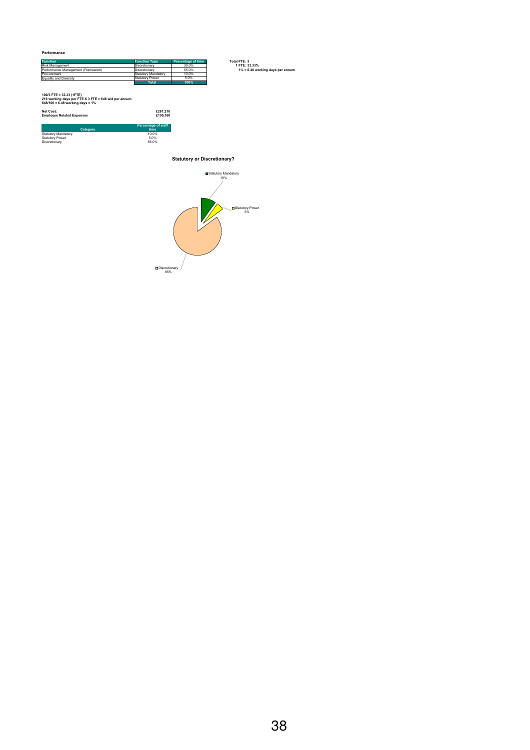| <b>Function</b>                    | <b>Function Type</b>   | Percentage of time |
|------------------------------------|------------------------|--------------------|
| Risk Management                    | Discretionary          | 30.0%              |
| Performance Management (Framework) | Discretionary          | 55.0%              |
| Procurement                        | Statutory Mandatory    | 10.0%              |
| Equality and Diversity             | <b>Statutory Power</b> | 5.0%               |
|                                    | <b>Total</b>           | 100%               |

| 100/3 FTE = 33.33 (1FTE)<br>216 working days per FTE X 3 FTE = 648 w/d per annum<br>648/100 = 6.48 working days = 1% |                            |
|----------------------------------------------------------------------------------------------------------------------|----------------------------|
| Net Cost:<br><b>Employee Related Expenses</b>                                                                        | £281.210<br>£195,160       |
|                                                                                                                      | <b>Percentage of staff</b> |
| Category                                                                                                             | time                       |
| <b>Statutory Mandatory</b>                                                                                           | 10.0%                      |
| <b>Statutory Power</b>                                                                                               | 5.0%                       |
| Discretionary                                                                                                        | 85.0%                      |